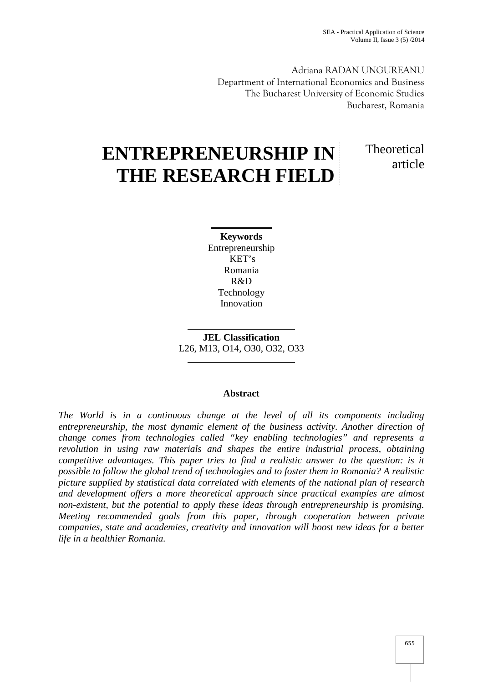Theoretical

article

Adriana RADAN UNGUREANU Department of International Economics and Business The Bucharest University of Economic Studies Bucharest, Romania

# **ENTREPRENEURSHIP IN THE RESEARCH FIELD**

**Keywords** Entrepreneurship KET's Romania R&D Technology Innovation

**JEL Classification** L26, M13, O14, O30, O32, O33

# **Abstract**

*The World is in a continuous change at the level of all its components including entrepreneurship, the most dynamic element of the business activity. Another direction of change comes from technologies called "key enabling technologies" and represents a revolution in using raw materials and shapes the entire industrial process, obtaining competitive advantages. This paper tries to find a realistic answer to the question: is it possible to follow the global trend of technologies and to foster them in Romania? A realistic picture supplied by statistical data correlated with elements of the national plan of research and development offers a more theoretical approach since practical examples are almost non-existent, but the potential to apply these ideas through entrepreneurship is promising. Meeting recommended goals from this paper, through cooperation between private companies, state and academies, creativity and innovation will boost new ideas for a better life in a healthier Romania.*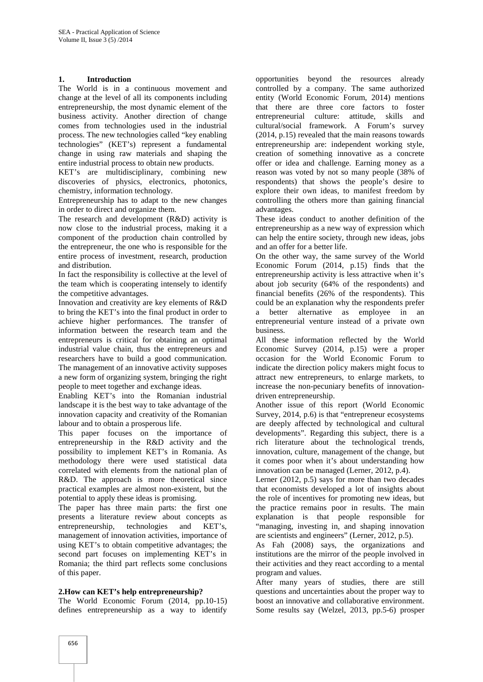## **1. Introduction**

The World is in a continuous movement and change at the level of all its components including entrepreneurship, the most dynamic element of the business activity. Another direction of change comes from technologies used in the industrial process. The new technologies called "key enabling technologies" (KET's) represent a fundamental change in using raw materials and shaping the entire industrial process to obtain new products.

KET's are multidisciplinary, combining new discoveries of physics, electronics, photonics, chemistry, information technology.

Entrepreneurship has to adapt to the new changes in order to direct and organize them.

The research and development (R&D) activity is now close to the industrial process, making it a component of the production chain controlled by the entrepreneur, the one who is responsible for the entire process of investment, research, production and distribution.

In fact the responsibility is collective at the level of the team which is cooperating intensely to identify the competitive advantages.

Innovation and creativity are key elements of R&D to bring the KET's into the final product in order to achieve higher performances. The transfer of information between the research team and the entrepreneurs is critical for obtaining an optimal industrial value chain, thus the entrepreneurs and researchers have to build a good communication. The management of an innovative activity supposes a new form of organizing system, bringing the right people to meet together and exchange ideas.

Enabling KET's into the Romanian industrial landscape it is the best way to take advantage of the innovation capacity and creativity of the Romanian labour and to obtain a prosperous life.

This paper focuses on the importance of entrepreneurship in the R&D activity and the possibility to implement KET's in Romania. As methodology there were used statistical data correlated with elements from the national plan of R&D. The approach is more theoretical since practical examples are almost non-existent, but the potential to apply these ideas is promising.

The paper has three main parts: the first one presents a literature review about concepts as entrepreneurship, technologies and KET's, management of innovation activities, importance of using KET's to obtain competitive advantages; the second part focuses on implementing KET's in Romania; the third part reflects some conclusions of this paper.

## **2.How can KET's help entrepreneurship?**

The World Economic Forum (2014, pp.10-15) defines entrepreneurship as a way to identify

opportunities beyond the resources already controlled by a company. The same authorized entity (World Economic Forum, 2014) mentions that there are three core factors to foster entrepreneurial culture: attitude, skills and cultural/social framework. A Forum's survey (2014, p.15) revealed that the main reasons towards entrepreneurship are: independent working style, creation of something innovative as a concrete offer or idea and challenge. Earning money as a reason was voted by not so many people (38% of respondents) that shows the people's desire to explore their own ideas, to manifest freedom by controlling the others more than gaining financial advantages.

These ideas conduct to another definition of the entrepreneurship as a new way of expression which can help the entire society, through new ideas, jobs and an offer for a better life.

On the other way, the same survey of the World Economic Forum (2014, p.15) finds that the entrepreneurship activity is less attractive when it's about job security (64% of the respondents) and financial benefits (26% of the respondents). This could be an explanation why the respondents prefer better alternative as employee in an entrepreneurial venture instead of a private own business.

All these information reflected by the World Economic Survey (2014, p.15) were a proper occasion for the World Economic Forum to indicate the direction policy makers might focus to attract new entrepreneurs, to enlarge markets, to increase the non-pecuniary benefits of innovation driven entrepreneurship.

Another issue of this report (World Economic Survey, 2014, p.6) is that "entrepreneur ecosystems are deeply affected by technological and cultural developments". Regarding this subject, there is a rich literature about the technological trends, innovation, culture, management of the change, but it comes poor when it's about understanding how innovation can be managed (Lerner, 2012, p.4).

Lerner (2012, p.5) says for more than two decades that economists developed a lot of insights about the role of incentives for promoting new ideas, but the practice remains poor in results. The main explanation is that people responsible for "managing, investing in, and shaping innovation are scientists and engineers" (Lerner, 2012, p.5).

As Fah (2008) says, the organizations and institutions are the mirror of the people involved in their activities and they react according to a mental program and values.

After many years of studies, there are still questions and uncertainties about the proper way to boost an innovative and collaborative environment. Some results say (Welzel, 2013, pp.5-6) prosper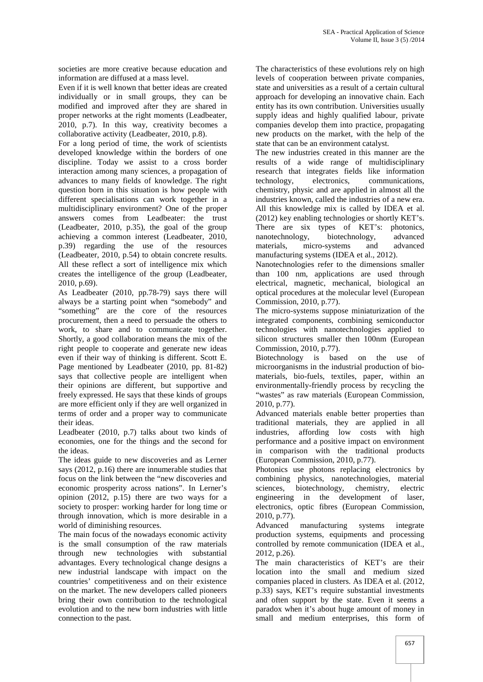societies are more creative because education and information are diffused at a mass level.

Even if it is well known that better ideas are created individually or in small groups, they can be modified and improved after they are shared in proper networks at the right moments (Leadbeater, 2010, p.7). In this way, creativity becomes a collaborative activity (Leadbeater, 2010, p.8).

For a long period of time, the work of scientists developed knowledge within the borders of one discipline. Today we assist to a cross border interaction among many sciences, a propagation of advances to many fields of knowledge. The right question born in this situation is how people with different specialisations can work together in a multidisciplinary environment? One of the proper answers comes from Leadbeater: the trust (Leadbeater, 2010, p.35), the goal of the group achieving a common interest (Leadbeater, 2010, p.39) regarding the use of the resources (Leadbeater, 2010, p.54) to obtain concrete results. All these reflect a sort of intelligence mix which creates the intelligence of the group (Leadbeater, 2010, p.69).

As Leadbeater (2010, pp.78-79) says there will always be a starting point when "somebody" and "something" are the core of the resources procurement, then a need to persuade the others to work, to share and to communicate together. Shortly, a good collaboration means the mix of the right people to cooperate and generate new ideas even if their way of thinking is different. Scott E. Page mentioned by Leadbeater (2010, pp. 81-82) says that collective people are intelligent when their opinions are different, but supportive and freely expressed. He says that these kinds of groups are more efficient only if they are well organized in terms of order and a proper way to communicate their ideas.

Leadbeater (2010, p.7) talks about two kinds of economies, one for the things and the second for the ideas.

The ideas guide to new discoveries and as Lerner says (2012, p.16) there are innumerable studies that focus on the link between the "new discoveries and economic prosperity across nations". In Lerner's opinion (2012, p.15) there are two ways for a society to prosper: working harder for long time or through innovation, which is more desirable in a world of diminishing resources.

The main focus of the nowadays economic activity is the small consumption of the raw materials through new technologies with substantial advantages. Every technological change designs a new industrial landscape with impact on the countries' competitiveness and on their existence on the market. The new developers called pioneers bring their own contribution to the technological evolution and to the new born industries with little connection to the past.

The characteristics of these evolutions rely on high levels of cooperation between private companies, state and universities as a result of a certain cultural approach for developing an innovative chain. Each entity has its own contribution. Universities usually supply ideas and highly qualified labour, private companies develop them into practice, propagating new products on the market, with the help of the state that can be an environment catalyst.

The new industries created in this manner are the results of a wide range of multidisciplinary research that integrates fields like information technology, electronics, communications, chemistry, physic and are applied in almost all the industries known, called the industries of a new era. All this knowledge mix is called by IDEA et al. (2012) key enabling technologies or shortly KET's. There are six types of KET's: photonics, nanotechnology, biotechnology, advanced materials, micro-systems and advanced manufacturing systems (IDEA et al., 2012).

Nanotechnologies refer to the dimensions smaller than 100 nm, applications are used through electrical, magnetic, mechanical, biological an optical procedures at the molecular level (European Commission, 2010, p.77).

The micro-systems suppose miniaturization of the integrated components, combining semiconductor technologies with nanotechnologies applied to silicon structures smaller then 100nm (European Commission, 2010, p.77).

Biotechnology is based on the use of microorganisms in the industrial production of bio materials, bio-fuels, textiles, paper, within an environmentally-friendly process by recycling the "wastes" as raw materials (European Commission, 2010, p.77).

Advanced materials enable better properties than traditional materials, they are applied in all industries, affording low costs with high performance and a positive impact on environment in comparison with the traditional products (European Commission, 2010, p.77).

Photonics use photons replacing electronics by combining physics, nanotechnologies, material sciences, biotechnology, chemistry, electric engineering in the development of laser, electronics, optic fibres (European Commission, 2010, p.77).

Advanced manufacturing systems integrate production systems, equipments and processing controlled by remote communication (IDEA et al., 2012, p.26).

The main characteristics of KET's are their location into the small and medium sized companies placed in clusters. As IDEA et al. (2012, p.33) says, KET's require substantial investments and often support by the state. Even it seems a paradox when it's about huge amount of money in small and medium enterprises, this form of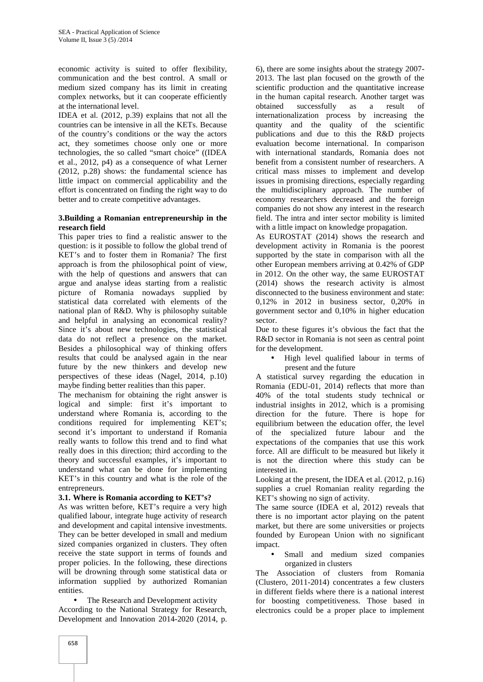economic activity is suited to offer flexibility, communication and the best control. A small or medium sized company has its limit in creating complex networks, but it can cooperate efficiently at the international level.

IDEA et al. (2012, p.39) explains that not all the countries can be intensive in all the KETs. Because of the country's conditions or the way the actors act, they sometimes choose only one or more technologies, the so called "smart choice" ((IDEA et al., 2012, p4) as a consequence of what Lerner (2012, p.28) shows: the fundamental science has little impact on commercial applicability and the effort is concentrated on finding the right way to do better and to create competitive advantages.

## **3.Building a Romanian entrepreneurship in the research field**

This paper tries to find a realistic answer to the question: is it possible to follow the global trend of KET's and to foster them in Romania? The first approach is from the philosophical point of view, with the help of questions and answers that can argue and analyse ideas starting from a realistic picture of Romania nowadays supplied by statistical data correlated with elements of the national plan of R&D. Why is philosophy suitable and helpful in analysing an economical reality? Since it's about new technologies, the statistical data do not reflect a presence on the market. Besides a philosophical way of thinking offers results that could be analysed again in the near future by the new thinkers and develop new perspectives of these ideas (Nagel, 2014, p.10) maybe finding better realities than this paper.

The mechanism for obtaining the right answer is logical and simple: first it's important to understand where Romania is, according to the conditions required for implementing KET's; second it's important to understand if Romania really wants to follow this trend and to find what really does in this direction; third according to the theory and successful examples, it's important to understand what can be done for implementing KET's in this country and what is the role of the entrepreneurs.

## **3.1. Where is Romania according to KET's?**

As was written before, KET's require a very high qualified labour, integrate huge activity of research and development and capital intensive investments. They can be better developed in small and medium sized companies organized in clusters. They often receive the state support in terms of founds and proper policies. In the following, these directions will be drowning through some statistical data or information supplied by authorized Romanian entities.

 The Research and Development activity According to the National Strategy for Research, Development and Innovation 2014-2020 (2014, p.

6), there are some insights about the strategy 2007- 2013. The last plan focused on the growth of the scientific production and the quantitative increase in the human capital research. Another target was obtained successfully as a result of internationalization process by increasing the quantity and the quality of the scientific publications and due to this the R&D projects evaluation become international. In comparison with international standards, Romania does not benefit from a consistent number of researchers. A critical mass misses to implement and develop issues in promising directions, especially regarding the multidisciplinary approach. The number of economy researchers decreased and the foreign companies do not show any interest in the research field. The intra and inter sector mobility is limited with a little impact on knowledge propagation.

As EUROSTAT (2014) shows the research and development activity in Romania is the poorest supported by the state in comparison with all the other European members arriving at 0.42% of GDP in 2012. On the other way, the same EUROSTAT (2014) shows the research activity is almost disconnected to the business environment and state: 0,12% in 2012 in business sector, 0,20% in government sector and 0,10% in higher education sector.

Due to these figures it's obvious the fact that the R&D sector in Romania is not seen as central point for the development.

 High level qualified labour in terms of present and the future

A statistical survey regarding the education in Romania (EDU-01, 2014) reflects that more than 40% of the total students study technical or industrial insights in 2012, which is a promising direction for the future. There is hope for equilibrium between the education offer, the level of the specialized future labour and the expectations of the companies that use this work force. All are difficult to be measured but likely it is not the direction where this study can be interested in.

Looking at the present, the IDEA et al. (2012, p.16) supplies a cruel Romanian reality regarding the KET's showing no sign of activity.

The same source (IDEA et al, 2012) reveals that there is no important actor playing on the patent market, but there are some universities or projects founded by European Union with no significant impact.

 Small and medium sized companies organized in clusters

The Association of clusters from Romania (Clustero, 2011-2014) concentrates a few clusters in different fields where there is a national interest for boosting competitiveness. Those based in electronics could be a proper place to implement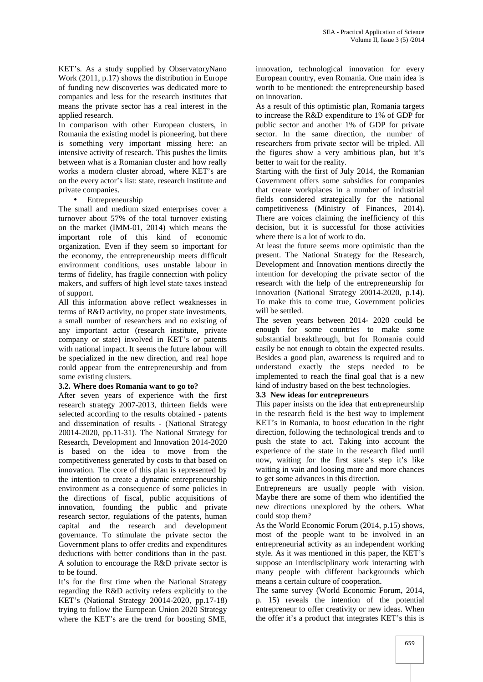KET's. As a study supplied by ObservatoryNano Work (2011, p.17) shows the distribution in Europe of funding new discoveries was dedicated more to companies and less for the research institutes that means the private sector has a real interest in the applied research.

In comparison with other European clusters, in Romania the existing model is pioneering, but there is something very important missing here: an intensive activity of research. This pushes the limits between what is a Romanian cluster and how really works a modern cluster abroad, where KET's are on the every actor's list: state, research institute and private companies.

#### • Entrepreneurship

The small and medium sized enterprises cover a turnover about 57% of the total turnover existing on the market (IMM-01, 2014) which means the important role of this kind of economic organization. Even if they seem so important for the economy, the entrepreneurship meets difficult environment conditions, uses unstable labour in terms of fidelity, has fragile connection with policy makers, and suffers of high level state taxes instead of support.

All this information above reflect weaknesses in terms of R&D activity, no proper state investments, a small number of researchers and no existing of any important actor (research institute, private company or state) involved in KET's or patents with national impact. It seems the future labour will be specialized in the new direction, and real hope could appear from the entrepreneurship and from some existing clusters.

## **3.2. Where does Romania want to go to?**

After seven years of experience with the first research strategy 2007-2013, thirteen fields were selected according to the results obtained - patents and dissemination of results - (National Strategy 20014-2020, pp.11-31). The National Strategy for Research, Development and Innovation 2014-2020 is based on the idea to move from the competitiveness generated by costs to that based on innovation. The core of this plan is represented by the intention to create a dynamic entrepreneurship environment as a consequence of some policies in the directions of fiscal, public acquisitions of innovation, founding the public and private research sector, regulations of the patents, human capital and the research and development governance. To stimulate the private sector the Government plans to offer credits and expenditures deductions with better conditions than in the past. A solution to encourage the R&D private sector is to be found.

It's for the first time when the National Strategy regarding the R&D activity refers explicitly to the KET's (National Strategy 20014-2020, pp.17-18) trying to follow the European Union 2020 Strategy where the KET's are the trend for boosting SME,

innovation, technological innovation for every European country, even Romania. One main idea is worth to be mentioned: the entrepreneurship based on innovation.

As a result of this optimistic plan, Romania targets to increase the R&D expenditure to 1% of GDP for public sector and another 1% of GDP for private sector. In the same direction, the number of researchers from private sector will be tripled. All the figures show a very ambitious plan, but it's better to wait for the reality.

Starting with the first of July 2014, the Romanian Government offers some subsidies for companies that create workplaces in a number of industrial fields considered strategically for the national competitiveness (Ministry of Finances, 2014). There are voices claiming the inefficiency of this decision, but it is successful for those activities where there is a lot of work to do.

At least the future seems more optimistic than the present. The National Strategy for the Research, Development and Innovation mentions directly the intention for developing the private sector of the research with the help of the entrepreneurship for innovation (National Strategy 20014-2020, p.14). To make this to come true, Government policies will be settled.

The seven years between 2014- 2020 could be enough for some countries to make some substantial breakthrough, but for Romania could easily be not enough to obtain the expected results. Besides a good plan, awareness is required and to understand exactly the steps needed to be implemented to reach the final goal that is a new kind of industry based on the best technologies.

## **3.3 New ideas for entrepreneurs**

This paper insists on the idea that entrepreneurship in the research field is the best way to implement KET's in Romania, to boost education in the right direction, following the technological trends and to push the state to act. Taking into account the experience of the state in the research filed until now, waiting for the first state's step it's like waiting in vain and loosing more and more chances to get some advances in this direction.

Entrepreneurs are usually people with vision. Maybe there are some of them who identified the new directions unexplored by the others. What could stop them?

As the World Economic Forum (2014, p.15) shows, most of the people want to be involved in an entrepreneurial activity as an independent working style. As it was mentioned in this paper, the KET's suppose an interdisciplinary work interacting with many people with different backgrounds which means a certain culture of cooperation.

The same survey (World Economic Forum, 2014, p. 15) reveals the intention of the potential entrepreneur to offer creativity or new ideas. When the offer it's a product that integrates KET's this is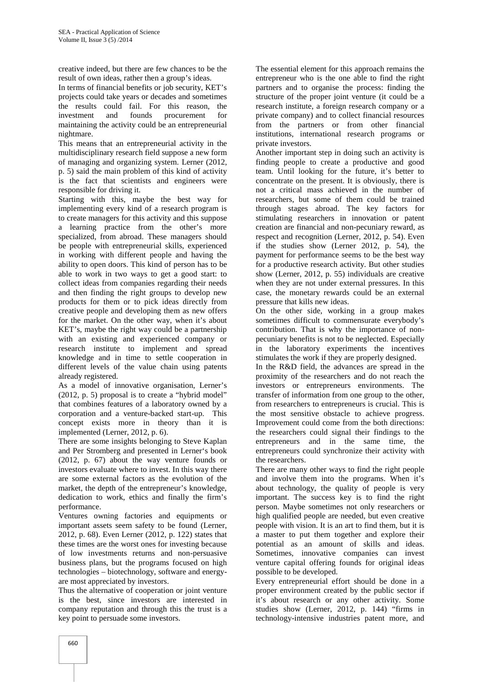creative indeed, but there are few chances to be the result of own ideas, rather then a group's ideas.

In terms of financial benefits or job security, KET's projects could take years or decades and sometimes the results could fail. For this reason, the investment and founds procurement for maintaining the activity could be an entrepreneurial nightmare.

This means that an entrepreneurial activity in the multidisciplinary research field suppose a new form of managing and organizing system. Lerner (2012, p. 5) said the main problem of this kind of activity is the fact that scientists and engineers were responsible for driving it.

Starting with this, maybe the best way for implementing every kind of a research program is to create managers for this activity and this suppose a learning practice from the other's more specialized, from abroad. These managers should be people with entrepreneurial skills, experienced in working with different people and having the ability to open doors. This kind of person has to be able to work in two ways to get a good start: to collect ideas from companies regarding their needs and then finding the right groups to develop new products for them or to pick ideas directly from creative people and developing them as new offers for the market. On the other way, when it's about KET's, maybe the right way could be a partnership with an existing and experienced company or research institute to implement and spread knowledge and in time to settle cooperation in different levels of the value chain using patents already registered.

As a model of innovative organisation, Lerner's (2012, p. 5) proposal is to create a "hybrid model" that combines features of a laboratory owned by a corporation and a venture-backed start-up. This concept exists more in theory than it is implemented (Lerner, 2012, p. 6).

There are some insights belonging to Steve Kaplan and Per Stromberg and presented in Lerner's book (2012, p. 67) about the way venture founds or investors evaluate where to invest. In this way there are some external factors as the evolution of the market, the depth of the entrepreneur's knowledge, dedication to work, ethics and finally the firm's performance.

Ventures owning factories and equipments or important assets seem safety to be found (Lerner, 2012, p. 68). Even Lerner (2012, p. 122) states that these times are the worst ones for investing because of low investments returns and non-persuasive business plans, but the programs focused on high technologies – biotechnology, software and energy are most appreciated by investors.

Thus the alternative of cooperation or joint venture is the best, since investors are interested in company reputation and through this the trust is a key point to persuade some investors.

The essential element for this approach remains the entrepreneur who is the one able to find the right partners and to organise the process: finding the structure of the proper joint venture (it could be a research institute, a foreign research company or a private company) and to collect financial resources from the partners or from other financial institutions, international research programs or private investors.

Another important step in doing such an activity is finding people to create a productive and good team. Until looking for the future, it's better to concentrate on the present. It is obviously, there is not a critical mass achieved in the number of researchers, but some of them could be trained through stages abroad. The key factors for stimulating researchers in innovation or patent creation are financial and non-pecuniary reward, as respect and recognition (Lerner, 2012, p. 54). Even if the studies show (Lerner 2012, p. 54), the payment for performance seems to be the best way for a productive research activity. But other studies show (Lerner, 2012, p. 55) individuals are creative when they are not under external pressures. In this case, the monetary rewards could be an external pressure that kills new ideas.

On the other side, working in a group makes sometimes difficult to commensurate everybody's contribution. That is why the importance of non pecuniary benefits is not to be neglected. Especially in the laboratory experiments the incentives stimulates the work if they are properly designed.

In the R&D field, the advances are spread in the proximity of the researchers and do not reach the investors or entrepreneurs environments. The transfer of information from one group to the other, from researchers to entrepreneurs is crucial. This is the most sensitive obstacle to achieve progress. Improvement could come from the both directions: the researchers could signal their findings to the entrepreneurs and in the same time, the entrepreneurs could synchronize their activity with the researchers.

There are many other ways to find the right people and involve them into the programs. When it's about technology, the quality of people is very important. The success key is to find the right person. Maybe sometimes not only researchers or high qualified people are needed, but even creative people with vision. It is an art to find them, but it is a master to put them together and explore their potential as an amount of skills and ideas. Sometimes, innovative companies can invest venture capital offering founds for original ideas possible to be developed.

Every entrepreneurial effort should be done in a proper environment created by the public sector if it's about research or any other activity. Some studies show (Lerner, 2012, p. 144) "firms in technology-intensive industries patent more, and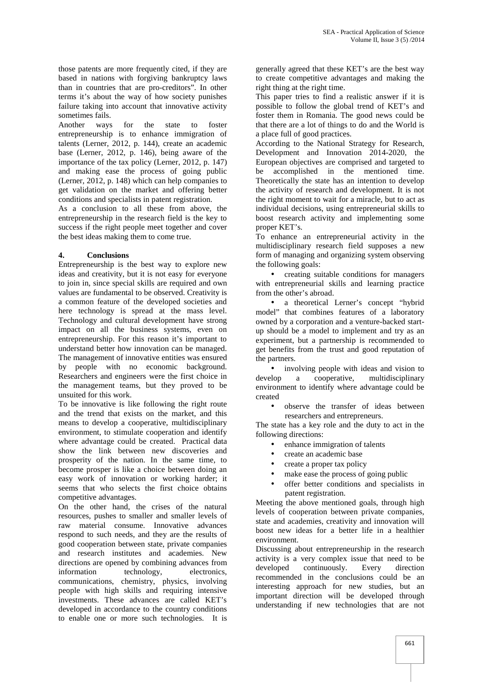those patents are more frequently cited, if they are based in nations with forgiving bankruptcy laws than in countries that are pro-creditors". In other terms it's about the way of how society punishes failure taking into account that innovative activity sometimes fails.

Another ways for the state to foster entrepreneurship is to enhance immigration of talents (Lerner, 2012, p. 144), create an academic base (Lerner, 2012, p. 146), being aware of the importance of the tax policy (Lerner, 2012, p. 147) and making ease the process of going public (Lerner, 2012, p. 148) which can help companies to get validation on the market and offering better conditions and specialists in patent registration.

As a conclusion to all these from above, the entrepreneurship in the research field is the key to success if the right people meet together and cover the best ideas making them to come true.

## **4. Conclusions**

Entrepreneurship is the best way to explore new ideas and creativity, but it is not easy for everyone to join in, since special skills are required and own values are fundamental to be observed. Creativity is a common feature of the developed societies and here technology is spread at the mass level. Technology and cultural development have strong impact on all the business systems, even on entrepreneurship. For this reason it's important to understand better how innovation can be managed. The management of innovative entities was ensured by people with no economic background. Researchers and engineers were the first choice in develop the management teams, but they proved to be unsuited for this work.

To be innovative is like following the right route and the trend that exists on the market, and this means to develop a cooperative, multidisciplinary environment, to stimulate cooperation and identify where advantage could be created. Practical data show the link between new discoveries and prosperity of the nation. In the same time, to become prosper is like a choice between doing an easy work of innovation or working harder; it seems that who selects the first choice obtains competitive advantages.

On the other hand, the crises of the natural resources, pushes to smaller and smaller levels of raw material consume. Innovative advances respond to such needs, and they are the results of good cooperation between state, private companies and research institutes and academies. New directions are opened by combining advances from activity is<br>developed information technology, electronics, communications, chemistry, physics, involving people with high skills and requiring intensive investments. These advances are called KET's developed in accordance to the country conditions to enable one or more such technologies. It is

generally agreed that these KET's are the best way to create competitive advantages and making the right thing at the right time.

This paper tries to find a realistic answer if it is possible to follow the global trend of KET's and foster them in Romania. The good news could be that there are a lot of things to do and the World is a place full of good practices.

According to the National Strategy for Research, Development and Innovation 2014-2020, the European objectives are comprised and targeted to be accomplished in the mentioned time. Theoretically the state has an intention to develop the activity of research and development. It is not the right moment to wait for a miracle, but to act as individual decisions, using entrepreneurial skills to boost research activity and implementing some proper KET's.

To enhance an entrepreneurial activity in the multidisciplinary research field supposes a new form of managing and organizing system observing the following goals:

 creating suitable conditions for managers with entrepreneurial skills and learning practice from the other's abroad.

 a theoretical Lerner's concept "hybrid model" that combines features of a laboratory owned by a corporation and a venture-backed start up should be a model to implement and try as an experiment, but a partnership is recommended to get benefits from the trust and good reputation of the partners.

• involving people with ideas and vision to a cooperative, multidisciplinary environment to identify where advantage could be created

 observe the transfer of ideas between researchers and entrepreneurs.

The state has a key role and the duty to act in the following directions:

- enhance immigration of talents
- create an academic base
- create a proper tax policy
- make ease the process of going public
- offer better conditions and specialists in patent registration.

Meeting the above mentioned goals, through high levels of cooperation between private companies, state and academies, creativity and innovation will boost new ideas for a better life in a healthier environment.

Discussing about entrepreneurship in the research activity is a very complex issue that need to be continuously. Every direction recommended in the conclusions could be an interesting approach for new studies, but an important direction will be developed through understanding if new technologies that are not